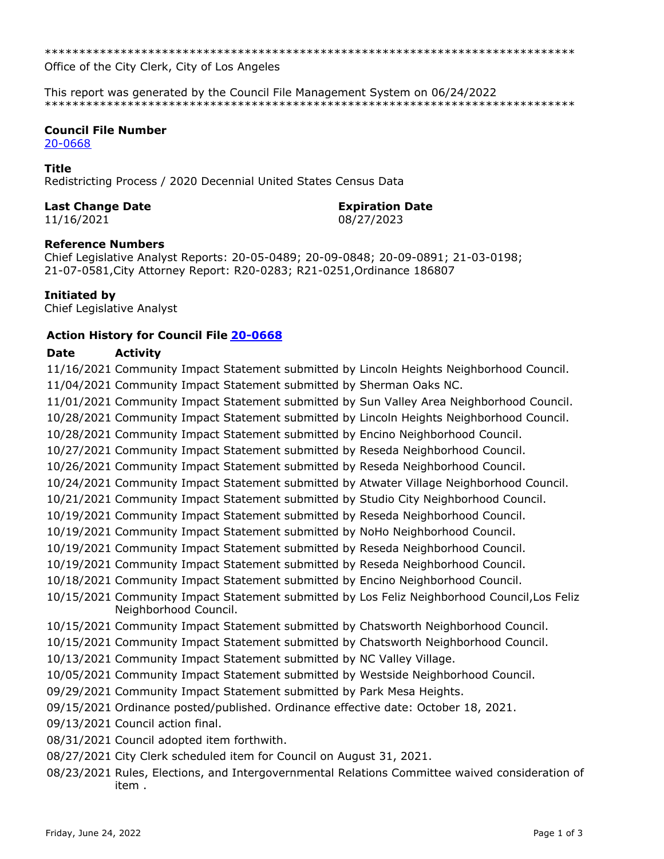Office of the City Clerk, City of Los Angeles

This report was generated by the Council File Management System on 06/24/2022 

# **Council File Number**

20-0668

#### **Title**

Redistricting Process / 2020 Decennial United States Census Data

#### **Last Change Date**

11/16/2021

#### **Expiration Date**

08/27/2023

# **Reference Numbers**

Chief Legislative Analyst Reports: 20-05-0489; 20-09-0848; 20-09-0891; 21-03-0198; 21-07-0581, City Attorney Report: R20-0283; R21-0251, Ordinance 186807

# Initiated by

Chief Legislative Analyst

# **Action History for Council File 20-0668**

#### **Date Activity**

11/16/2021 Community Impact Statement submitted by Lincoln Heights Neighborhood Council. 11/04/2021 Community Impact Statement submitted by Sherman Oaks NC. 11/01/2021 Community Impact Statement submitted by Sun Valley Area Neighborhood Council. 10/28/2021 Community Impact Statement submitted by Lincoln Heights Neighborhood Council. 10/28/2021 Community Impact Statement submitted by Encino Neighborhood Council. 10/27/2021 Community Impact Statement submitted by Reseda Neighborhood Council. 10/26/2021 Community Impact Statement submitted by Reseda Neighborhood Council. 10/24/2021 Community Impact Statement submitted by Atwater Village Neighborhood Council. 10/21/2021 Community Impact Statement submitted by Studio City Neighborhood Council. 10/19/2021 Community Impact Statement submitted by Reseda Neighborhood Council. 10/19/2021 Community Impact Statement submitted by NoHo Neighborhood Council. 10/19/2021 Community Impact Statement submitted by Reseda Neighborhood Council. 10/19/2021 Community Impact Statement submitted by Reseda Neighborhood Council. 10/18/2021 Community Impact Statement submitted by Encino Neighborhood Council. 10/15/2021 Community Impact Statement submitted by Los Feliz Neighborhood Council, Los Feliz Neighborhood Council. 10/15/2021 Community Impact Statement submitted by Chatsworth Neighborhood Council. 10/15/2021 Community Impact Statement submitted by Chatsworth Neighborhood Council. 10/13/2021 Community Impact Statement submitted by NC Valley Village. 10/05/2021 Community Impact Statement submitted by Westside Neighborhood Council. 09/29/2021 Community Impact Statement submitted by Park Mesa Heights. 09/15/2021 Ordinance posted/published. Ordinance effective date: October 18, 2021. 09/13/2021 Council action final. 08/31/2021 Council adopted item forthwith. 08/27/2021 City Clerk scheduled item for Council on August 31, 2021. 08/23/2021 Rules, Elections, and Intergovernmental Relations Committee waived consideration of item.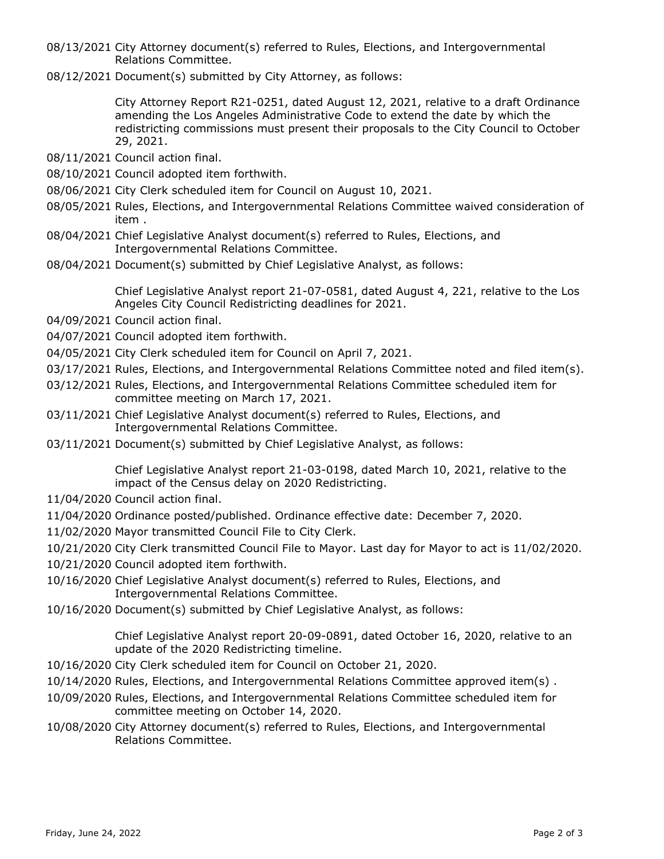- 08/13/2021 City Attorney document(s) referred to Rules, Elections, and Intergovernmental Relations Committee.
- 08/12/2021 Document(s) submitted by City Attorney, as follows:

City Attorney Report R21-0251, dated August 12, 2021, relative to a draft Ordinance amending the Los Angeles Administrative Code to extend the date by which the redistricting commissions must present their proposals to the City Council to October 29, 2021.

- 08/11/2021 Council action final.
- 08/10/2021 Council adopted item forthwith.
- 08/06/2021 City Clerk scheduled item for Council on August 10, 2021.
- 08/05/2021 Rules, Elections, and Intergovernmental Relations Committee waived consideration of item .
- 08/04/2021 Chief Legislative Analyst document(s) referred to Rules, Elections, and Intergovernmental Relations Committee.
- 08/04/2021 Document(s) submitted by Chief Legislative Analyst, as follows:

Chief Legislative Analyst report 21-07-0581, dated August 4, 221, relative to the Los Angeles City Council Redistricting deadlines for 2021.

- 04/09/2021 Council action final.
- 04/07/2021 Council adopted item forthwith.
- 04/05/2021 City Clerk scheduled item for Council on April 7, 2021.
- 03/17/2021 Rules, Elections, and Intergovernmental Relations Committee noted and filed item(s).
- 03/12/2021 Rules, Elections, and Intergovernmental Relations Committee scheduled item for committee meeting on March 17, 2021.
- 03/11/2021 Chief Legislative Analyst document(s) referred to Rules, Elections, and Intergovernmental Relations Committee.
- 03/11/2021 Document(s) submitted by Chief Legislative Analyst, as follows:

Chief Legislative Analyst report 21-03-0198, dated March 10, 2021, relative to the impact of the Census delay on 2020 Redistricting.

- 11/04/2020 Council action final.
- 11/04/2020 Ordinance posted/published. Ordinance effective date: December 7, 2020.
- 11/02/2020 Mayor transmitted Council File to City Clerk.

10/21/2020 City Clerk transmitted Council File to Mayor. Last day for Mayor to act is 11/02/2020.

- 10/21/2020 Council adopted item forthwith.
- 10/16/2020 Chief Legislative Analyst document(s) referred to Rules, Elections, and Intergovernmental Relations Committee.
- 10/16/2020 Document(s) submitted by Chief Legislative Analyst, as follows:

Chief Legislative Analyst report 20-09-0891, dated October 16, 2020, relative to an update of the 2020 Redistricting timeline.

- 10/16/2020 City Clerk scheduled item for Council on October 21, 2020.
- 10/14/2020 Rules, Elections, and Intergovernmental Relations Committee approved item(s) .
- 10/09/2020 Rules, Elections, and Intergovernmental Relations Committee scheduled item for committee meeting on October 14, 2020.
- 10/08/2020 City Attorney document(s) referred to Rules, Elections, and Intergovernmental Relations Committee.